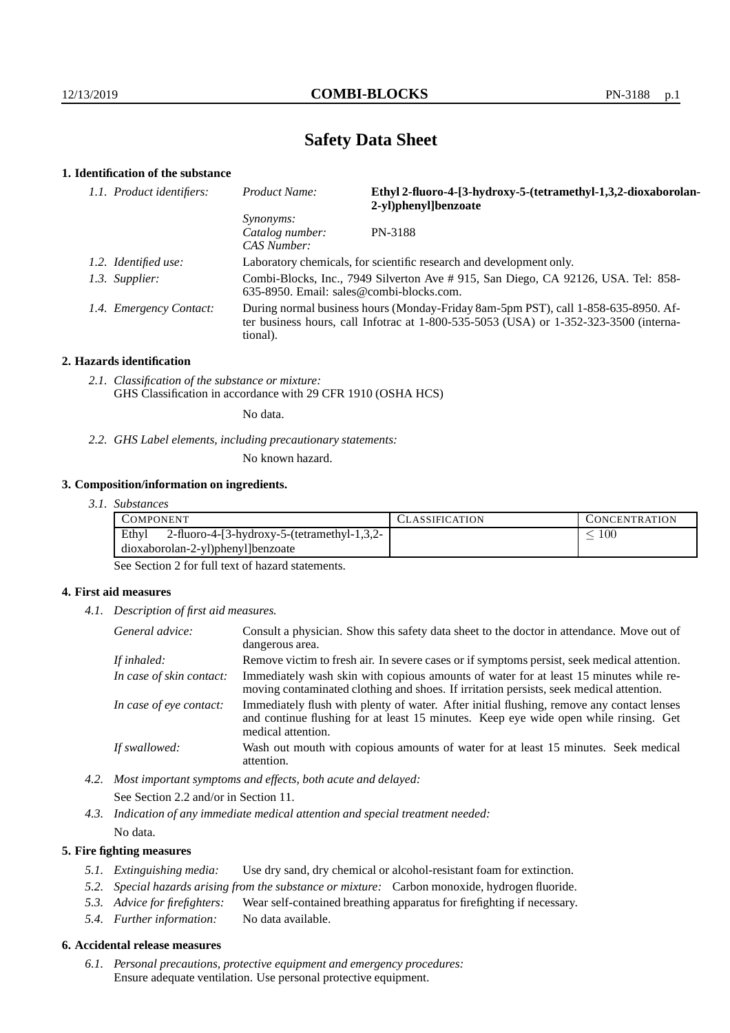# **Safety Data Sheet**

# **1. Identification of the substance**

| 1.1. Product identifiers: | Ethyl 2-fluoro-4-[3-hydroxy-5-(tetramethyl-1,3,2-dioxaborolan-<br>Product Name:<br>2-yl)phenyl]benzoate                                                                                 |         |
|---------------------------|-----------------------------------------------------------------------------------------------------------------------------------------------------------------------------------------|---------|
|                           | <i>Synonyms:</i><br>Catalog number:<br>CAS Number:                                                                                                                                      | PN-3188 |
| 1.2. Identified use:      | Laboratory chemicals, for scientific research and development only.                                                                                                                     |         |
| 1.3. Supplier:            | Combi-Blocks, Inc., 7949 Silverton Ave # 915, San Diego, CA 92126, USA. Tel: 858-<br>635-8950. Email: sales@combi-blocks.com.                                                           |         |
| 1.4. Emergency Contact:   | During normal business hours (Monday-Friday 8am-5pm PST), call 1-858-635-8950. Af-<br>ter business hours, call Infotrac at 1-800-535-5053 (USA) or 1-352-323-3500 (interna-<br>tional). |         |

#### **2. Hazards identification**

*2.1. Classification of the substance or mixture:* GHS Classification in accordance with 29 CFR 1910 (OSHA HCS)

No data.

*2.2. GHS Label elements, including precautionary statements:*

No known hazard.

### **3. Composition/information on ingredients.**

*3.1. Substances*

| COMPONENT                                            | CLASSIFICATION | <b>CONCENTRATION</b> |
|------------------------------------------------------|----------------|----------------------|
| Ethyl<br>2-fluoro-4-[3-hydroxy-5-(tetramethyl-1,3,2- |                | 100                  |
| dioxaborolan-2-yl)phenyl]benzoate                    |                |                      |

See Section 2 for full text of hazard statements.

## **4. First aid measures**

*4.1. Description of first aid measures.*

| General advice:          | Consult a physician. Show this safety data sheet to the doctor in attendance. Move out of<br>dangerous area.                                                                                            |
|--------------------------|---------------------------------------------------------------------------------------------------------------------------------------------------------------------------------------------------------|
| If inhaled:              | Remove victim to fresh air. In severe cases or if symptoms persist, seek medical attention.                                                                                                             |
| In case of skin contact: | Immediately wash skin with copious amounts of water for at least 15 minutes while re-<br>moving contaminated clothing and shoes. If irritation persists, seek medical attention.                        |
| In case of eye contact:  | Immediately flush with plenty of water. After initial flushing, remove any contact lenses<br>and continue flushing for at least 15 minutes. Keep eye wide open while rinsing. Get<br>medical attention. |
| If swallowed:            | Wash out mouth with copious amounts of water for at least 15 minutes. Seek medical<br>attention.                                                                                                        |

*4.2. Most important symptoms and effects, both acute and delayed:* See Section 2.2 and/or in Section 11.

*4.3. Indication of any immediate medical attention and special treatment needed:* No data.

## **5. Fire fighting measures**

- *5.1. Extinguishing media:* Use dry sand, dry chemical or alcohol-resistant foam for extinction.
- *5.2. Special hazards arising from the substance or mixture:* Carbon monoxide, hydrogen fluoride.
- *5.3. Advice for firefighters:* Wear self-contained breathing apparatus for firefighting if necessary.
- *5.4. Further information:* No data available.

# **6. Accidental release measures**

*6.1. Personal precautions, protective equipment and emergency procedures:* Ensure adequate ventilation. Use personal protective equipment.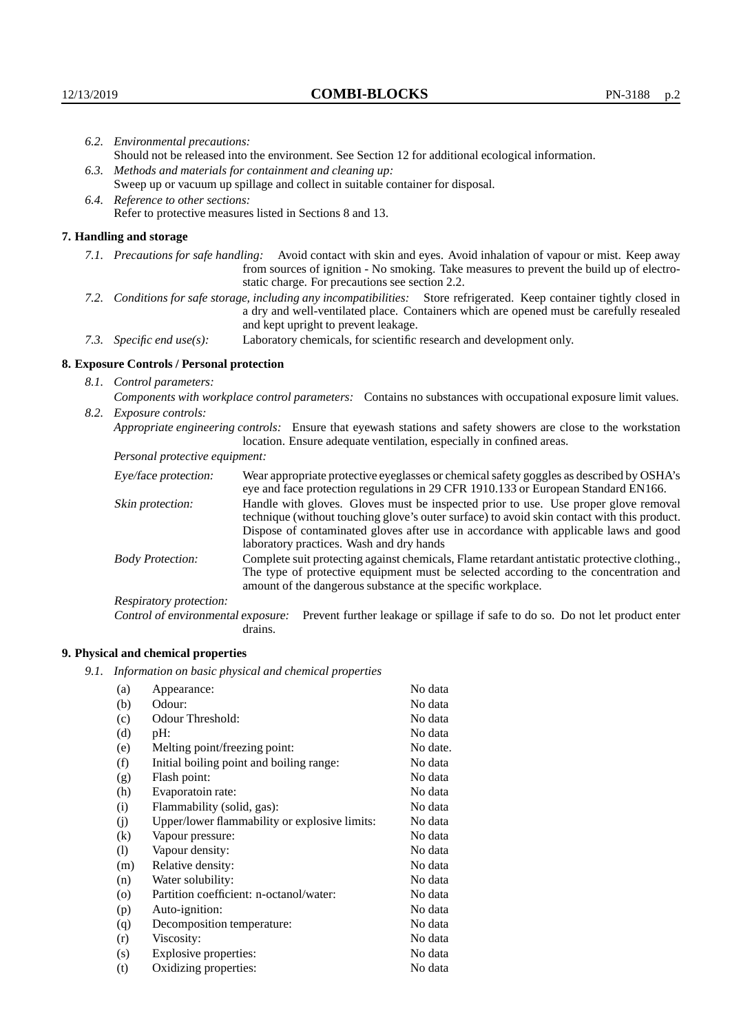|                                                                                                                         | 6.2. Environmental precautions:                                                                                                                                                                                                                                    |                                                                                                                                                                                                                                                                                                                        |  |  |
|-------------------------------------------------------------------------------------------------------------------------|--------------------------------------------------------------------------------------------------------------------------------------------------------------------------------------------------------------------------------------------------------------------|------------------------------------------------------------------------------------------------------------------------------------------------------------------------------------------------------------------------------------------------------------------------------------------------------------------------|--|--|
|                                                                                                                         | Should not be released into the environment. See Section 12 for additional ecological information.                                                                                                                                                                 |                                                                                                                                                                                                                                                                                                                        |  |  |
|                                                                                                                         | 6.3. Methods and materials for containment and cleaning up:                                                                                                                                                                                                        |                                                                                                                                                                                                                                                                                                                        |  |  |
|                                                                                                                         | Sweep up or vacuum up spillage and collect in suitable container for disposal.                                                                                                                                                                                     |                                                                                                                                                                                                                                                                                                                        |  |  |
|                                                                                                                         | 6.4. Reference to other sections:                                                                                                                                                                                                                                  |                                                                                                                                                                                                                                                                                                                        |  |  |
|                                                                                                                         | Refer to protective measures listed in Sections 8 and 13.                                                                                                                                                                                                          |                                                                                                                                                                                                                                                                                                                        |  |  |
|                                                                                                                         | 7. Handling and storage                                                                                                                                                                                                                                            |                                                                                                                                                                                                                                                                                                                        |  |  |
|                                                                                                                         | 7.1. Precautions for safe handling: Avoid contact with skin and eyes. Avoid inhalation of vapour or mist. Keep away<br>from sources of ignition - No smoking. Take measures to prevent the build up of electro-<br>static charge. For precautions see section 2.2. |                                                                                                                                                                                                                                                                                                                        |  |  |
| 7.2. Conditions for safe storage, including any incompatibilities: Store refrigerated. Keep container tightly closed in |                                                                                                                                                                                                                                                                    | a dry and well-ventilated place. Containers which are opened must be carefully resealed<br>and kept upright to prevent leakage.                                                                                                                                                                                        |  |  |
|                                                                                                                         | 7.3. Specific end use(s):                                                                                                                                                                                                                                          | Laboratory chemicals, for scientific research and development only.                                                                                                                                                                                                                                                    |  |  |
|                                                                                                                         | 8. Exposure Controls / Personal protection                                                                                                                                                                                                                         |                                                                                                                                                                                                                                                                                                                        |  |  |
|                                                                                                                         | 8.1. Control parameters:                                                                                                                                                                                                                                           |                                                                                                                                                                                                                                                                                                                        |  |  |
|                                                                                                                         | Components with workplace control parameters: Contains no substances with occupational exposure limit values.                                                                                                                                                      |                                                                                                                                                                                                                                                                                                                        |  |  |
|                                                                                                                         | 8.2. Exposure controls:                                                                                                                                                                                                                                            |                                                                                                                                                                                                                                                                                                                        |  |  |
|                                                                                                                         |                                                                                                                                                                                                                                                                    | Appropriate engineering controls: Ensure that eyewash stations and safety showers are close to the workstation<br>location. Ensure adequate ventilation, especially in confined areas.                                                                                                                                 |  |  |
|                                                                                                                         | Personal protective equipment:                                                                                                                                                                                                                                     |                                                                                                                                                                                                                                                                                                                        |  |  |
|                                                                                                                         | Eye/face protection:                                                                                                                                                                                                                                               | Wear appropriate protective eyeglasses or chemical safety goggles as described by OSHA's<br>eye and face protection regulations in 29 CFR 1910.133 or European Standard EN166.                                                                                                                                         |  |  |
|                                                                                                                         | Skin protection:                                                                                                                                                                                                                                                   | Handle with gloves. Gloves must be inspected prior to use. Use proper glove removal<br>technique (without touching glove's outer surface) to avoid skin contact with this product.<br>Dispose of contaminated gloves after use in accordance with applicable laws and good<br>laboratory practices. Wash and dry hands |  |  |

Body Protection: Complete suit protecting against chemicals, Flame retardant antistatic protective clothing., The type of protective equipment must be selected according to the concentration and amount of the dangerous substance at the specific workplace.

Respiratory protection:

Control of environmental exposure: Prevent further leakage or spillage if safe to do so. Do not let product enter drains.

# **9. Physical and chemical properties**

*9.1. Information on basic physical and chemical properties*

| (a)               | Appearance:                                   | No data  |
|-------------------|-----------------------------------------------|----------|
| (b)               | Odour:                                        | No data  |
| (c)               | Odour Threshold:                              | No data  |
| (d)               | pH:                                           | No data  |
| (e)               | Melting point/freezing point:                 | No date. |
| (f)               | Initial boiling point and boiling range:      | No data  |
| (g)               | Flash point:                                  | No data  |
| (h)               | Evaporatoin rate:                             | No data  |
| (i)               | Flammability (solid, gas):                    | No data  |
| (j)               | Upper/lower flammability or explosive limits: | No data  |
| $\left( k\right)$ | Vapour pressure:                              | No data  |
| (1)               | Vapour density:                               | No data  |
| (m)               | Relative density:                             | No data  |
| (n)               | Water solubility:                             | No data  |
| $\circ$           | Partition coefficient: n-octanol/water:       | No data  |
| (p)               | Auto-ignition:                                | No data  |
| (q)               | Decomposition temperature:                    | No data  |
| (r)               | Viscosity:                                    | No data  |
| (s)               | Explosive properties:                         | No data  |
| (t)               | Oxidizing properties:                         | No data  |
|                   |                                               |          |